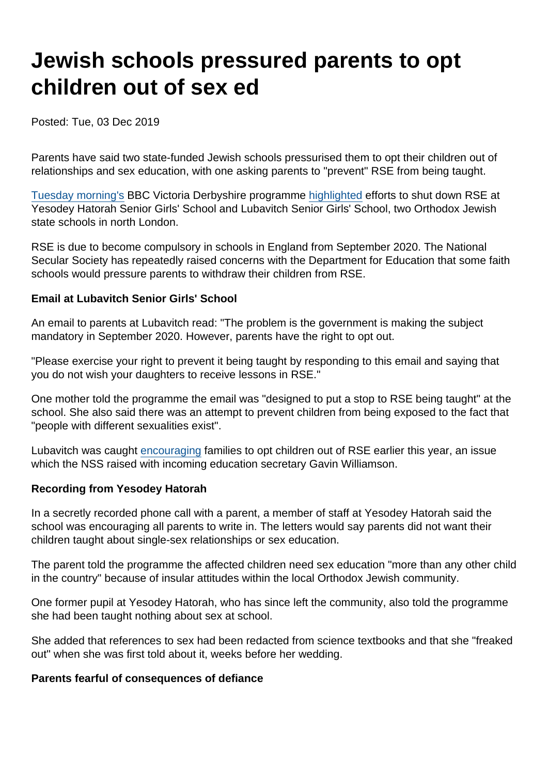# Jewish schools pressured parents to opt children out of sex ed

Posted: Tue, 03 Dec 2019

Parents have said two state-funded Jewish schools pressurised them to opt their children out of relationships and sex education, with one asking parents to "prevent" RSE from being taught.

[Tuesday morning's](https://www.bbc.co.uk/iplayer/episode/m000by2x/victoria-derbyshire-03122019) BBC Victoria Derbyshire programme [highlighted](https://www.bbc.co.uk/news/education-50566453) efforts to shut down RSE at Yesodey Hatorah Senior Girls' School and Lubavitch Senior Girls' School, two Orthodox Jewish state schools in north London.

RSE is due to become compulsory in schools in England from September 2020. The National Secular Society has repeatedly raised concerns with the Department for Education that some faith schools would pressure parents to withdraw their children from RSE.

Email at Lubavitch Senior Girls' School

An email to parents at Lubavitch read: "The problem is the government is making the subject mandatory in September 2020. However, parents have the right to opt out.

"Please exercise your right to prevent it being taught by responding to this email and saying that you do not wish your daughters to receive lessons in RSE."

One mother told the programme the email was "designed to put a stop to RSE being taught" at the school. She also said there was an attempt to prevent children from being exposed to the fact that "people with different sexualities exist".

Lubavitch was caught [encouraging](https://www.secularism.org.uk/opinion/2019/07/the-new-education-secretary-must-resist-the-reactionary-campaign-against-rse/) families to opt children out of RSE earlier this year, an issue which the NSS raised with incoming education secretary Gavin Williamson.

Recording from Yesodey Hatorah

In a secretly recorded phone call with a parent, a member of staff at Yesodey Hatorah said the school was encouraging all parents to write in. The letters would say parents did not want their children taught about single-sex relationships or sex education.

The parent told the programme the affected children need sex education "more than any other child in the country" because of insular attitudes within the local Orthodox Jewish community.

One former pupil at Yesodey Hatorah, who has since left the community, also told the programme she had been taught nothing about sex at school.

She added that references to sex had been redacted from science textbooks and that she "freaked out" when she was first told about it, weeks before her wedding.

Parents fearful of consequences of defiance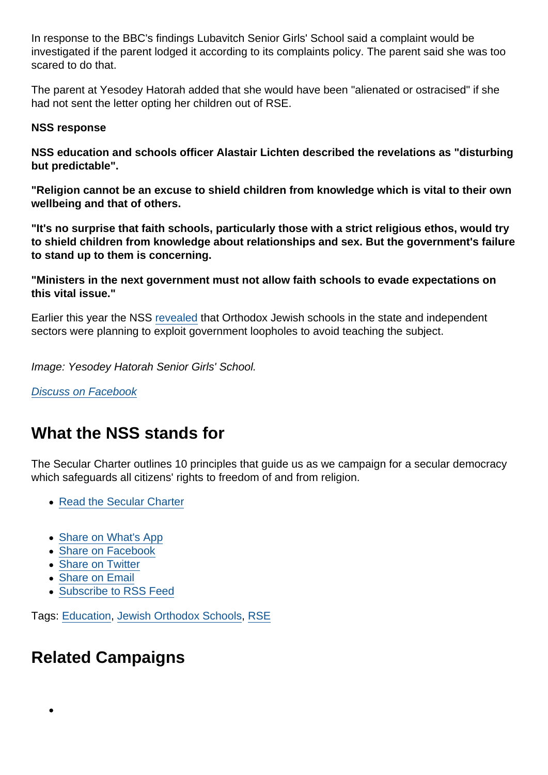In response to the BBC's findings Lubavitch Senior Girls' School said a complaint would be investigated if the parent lodged it according to its complaints policy. The parent said she was too scared to do that.

The parent at Yesodey Hatorah added that she would have been "alienated or ostracised" if she had not sent the letter opting her children out of RSE.

NSS response

NSS education and schools officer Alastair Lichten described the revelations as "disturbing but predictable".

"Religion cannot be an excuse to shield children from knowledge which is vital to their own wellbeing and that of others.

"It's no surprise that faith schools, particularly those with a strict religious ethos, would try to shield children from knowledge about relationships and sex. But the government's failure to stand up to them is concerning.

"Ministers in the next government must not allow faith schools to evade expectations on this vital issue."

Earlier this year the NSS [revealed](https://www.secularism.org.uk/news/2019/06/exposed-orthodox-jewish-schools-plan-to-escape-lgbt-inclusive-rse/) that Orthodox Jewish schools in the state and independent sectors were planning to exploit government loopholes to avoid teaching the subject.

Image: Yesodey Hatorah Senior Girls' School.

[Discuss on Facebook](https://www.facebook.com/NationalSecularSociety/posts/2624243044310697?__xts__[0]=68.ARByiRnQm576DIF0jOR2H-wwN8PtwFEDmYH5sZDfHJSmx632S93gPPNdus_y9dZ5fLgZJ1EQou2k8QkNejNEUVjDzTrew3aTDnHBA6Nv9B3WoVEhs2skYMOsTMjZ8jc7NY203-sm59vY7HFuBG4Oa2gqz89p0DaKjp7G-i6zu1aURYWnnqEUK0YmRa-DXehLKz0P2o7-0gkg1bI-22j09dNpbJ_K7yZIOI4Jrowui2ckT0yfywqj2XAsMYTM4-TPp-hOlGlDwtbSWyP9vAMRTaVAu63nWWJqCIfXH_HgvI1TdgirGFCMCx64f2zPsaQmmu1IS6_B-Zxo21NGbgY28A4LVA&__tn__=-R)

## What the NSS stands for

The Secular Charter outlines 10 principles that guide us as we campaign for a secular democracy which safeguards all citizens' rights to freedom of and from religion.

- [Read the Secular Charter](https://www.secularism.org.uk/the-secular-charter.html)
- [Share on What's App](whatsapp://send?text=http://www.secularism.org.uk/news/2019/12/jewish-schools-pressurised-parents-to-opt-children-out-of-sex-ed?format=pdf)
- [Share on Facebook](https://www.facebook.com/sharer/sharer.php?u=http://www.secularism.org.uk/news/2019/12/jewish-schools-pressurised-parents-to-opt-children-out-of-sex-ed?format=pdf&t=Jewish+schools+pressured+parents+to+opt+children+out+of+sex+ed)
- [Share on Twitter](https://twitter.com/intent/tweet?url=http://www.secularism.org.uk/news/2019/12/jewish-schools-pressurised-parents-to-opt-children-out-of-sex-ed?format=pdf&text=Jewish+schools+pressured+parents+to+opt+children+out+of+sex+ed&via=NatSecSoc)
- [Share on Email](https://www.secularism.org.uk/share.html?url=http://www.secularism.org.uk/news/2019/12/jewish-schools-pressurised-parents-to-opt-children-out-of-sex-ed?format=pdf&title=Jewish+schools+pressured+parents+to+opt+children+out+of+sex+ed)
- [Subscribe to RSS Feed](/mnt/web-data/www/cp-nss/feeds/rss/news)

Tags: [Education,](https://www.secularism.org.uk/news/tags/Education) [Jewish Orthodox Schools,](https://www.secularism.org.uk/news/tags/Jewish+Orthodox+Schools) [RSE](https://www.secularism.org.uk/news/tags/RSE)

### Related Campaigns